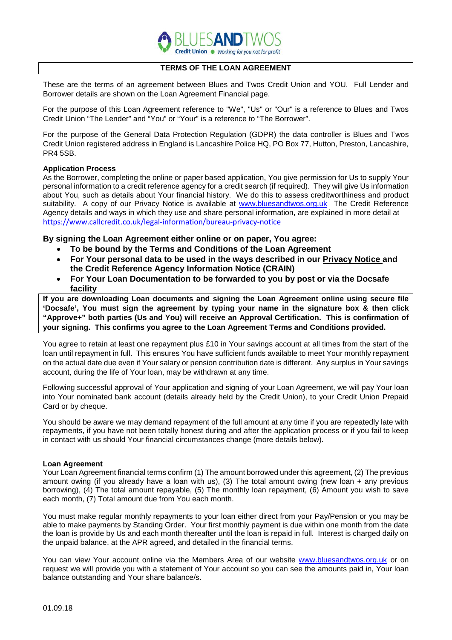

# **TERMS OF THE LOAN AGREEMENT**

These are the terms of an agreement between Blues and Twos Credit Union and YOU. Full Lender and Borrower details are shown on the Loan Agreement Financial page.

For the purpose of this Loan Agreement reference to "We", "Us" or "Our" is a reference to Blues and Twos Credit Union "The Lender" and "You" or "Your" is a reference to "The Borrower".

For the purpose of the General Data Protection Regulation (GDPR) the data controller is Blues and Twos Credit Union registered address in England is Lancashire Police HQ, PO Box 77, Hutton, Preston, Lancashire, PR4 5SB.

## **Application Process**

As the Borrower, completing the online or paper based application, You give permission for Us to supply Your personal information to a credit reference agency for a credit search (if required). They will give Us information about You, such as details about Your financial history. We do this to assess creditworthiness and product suitability. A copy of our Privacy Notice is available at [www.bluesandtwos.org.uk](http://www.bluesandtwos.org.uk/) The Credit Reference Agency details and ways in which they use and share personal information, are explained in more detail at <https://www.callcredit.co.uk/legal-information/bureau-privacy-notice>

# **By signing the Loan Agreement either online or on paper, You agree:**

- **To be bound by the Terms and Conditions of the Loan Agreement**
- **For Your personal data to be used in the ways described in our Privacy Notice and the Credit Reference Agency Information Notice (CRAIN)**
- **For Your Loan Documentation to be forwarded to you by post or via the Docsafe facility**

**If you are downloading Loan documents and signing the Loan Agreement online using secure file 'Docsafe', You must sign the agreement by typing your name in the signature box & then click "Approve+" both parties (Us and You) will receive an Approval Certification. This is confirmation of your signing. This confirms you agree to the Loan Agreement Terms and Conditions provided.**

You agree to retain at least one repayment plus £10 in Your savings account at all times from the start of the loan until repayment in full. This ensures You have sufficient funds available to meet Your monthly repayment on the actual date due even if Your salary or pension contribution date is different. Any surplus in Your savings account, during the life of Your loan, may be withdrawn at any time.

Following successful approval of Your application and signing of your Loan Agreement, we will pay Your loan into Your nominated bank account (details already held by the Credit Union), to your Credit Union Prepaid Card or by cheque.

You should be aware we may demand repayment of the full amount at any time if you are repeatedly late with repayments, if you have not been totally honest during and after the application process or if you fail to keep in contact with us should Your financial circumstances change (more details below).

### **Loan Agreement**

Your Loan Agreement financial terms confirm (1) The amount borrowed under this agreement, (2) The previous amount owing (if you already have a loan with us), (3) The total amount owing (new loan + any previous borrowing), (4) The total amount repayable, (5) The monthly loan repayment, (6) Amount you wish to save each month, (7) Total amount due from You each month.

You must make regular monthly repayments to your loan either direct from your Pay/Pension or you may be able to make payments by Standing Order. Your first monthly payment is due within one month from the date the loan is provide by Us and each month thereafter until the loan is repaid in full. Interest is charged daily on the unpaid balance, at the APR agreed, and detailed in the financial terms.

You can view Your account online via the Members Area of our website [www.bluesandtwos.org.uk](http://www.bluesandtwos.org.uk/) or on request we will provide you with a statement of Your account so you can see the amounts paid in, Your loan balance outstanding and Your share balance/s.